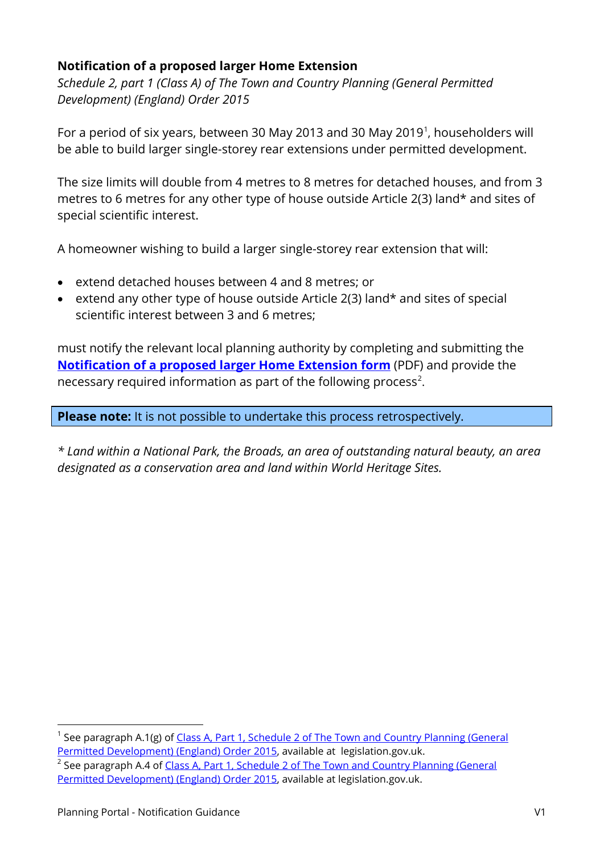## **Notification of a proposed larger Home Extension**

*Schedule 2, part 1 (Class A) of The Town and Country Planning (General Permitted Development) (England) Order 2015*

For a period of six years, between 30 May 20[1](#page-0-0)3 and 30 May 2019<sup>1</sup>, householders will be able to build larger single-storey rear extensions under permitted development.

The size limits will double from 4 metres to 8 metres for detached houses, and from 3 metres to 6 metres for any other type of house outside Article 2(3) land\* and sites of special scientific interest.

A homeowner wishing to build a larger single-storey rear extension that will:

- extend detached houses between 4 and 8 metres; or
- extend any other type of house outside Article 2(3) land\* and sites of special scientific interest between 3 and 6 metres;

must notify the relevant local planning authority by completing and submitting the **[Notification of a proposed larger Home Extension form](https://ecab.planningportal.co.uk/uploads/1app/forms/notification_of_a_proposed_larger_home_extension.pdf)** (PDF) and provide the necessary required information as part of the following process<sup>[2](#page-0-1)</sup>.

**Please note:** It is not possible to undertake this process retrospectively.

*\* Land within a National Park, the Broads, an area of outstanding natural beauty, an area designated as a conservation area and land within World Heritage Sites.*

-

<span id="page-0-0"></span>See paragraph A.1(g) of Class A, Part 1, Schedule 2 of The Town and Country Planning (General [Permitted Development\) \(England\) Order 2015,](http://www.legislation.gov.uk/uksi/2015/596/schedule/2/part/1/crossheading/class-a-enlargement-improvement-or-other-alteration-of-a-dwellinghouse/made) available at legislation.gov.uk.

<span id="page-0-1"></span><sup>&</sup>lt;sup>2</sup> See paragraph A.4 of Class A, Part 1, Schedule 2 of The Town and Country Planning (General [Permitted Development\) \(England\) Order 2015,](http://www.legislation.gov.uk/uksi/2015/596/schedule/2/part/1/crossheading/class-a-enlargement-improvement-or-other-alteration-of-a-dwellinghouse/made) available at legislation.gov.uk.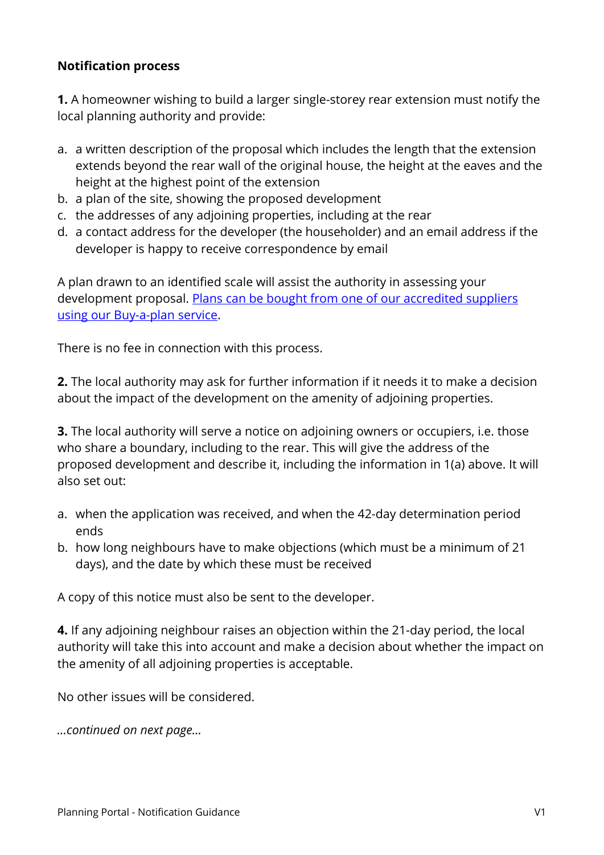## **Notification process**

**1.** A homeowner wishing to build a larger single-storey rear extension must notify the local planning authority and provide:

- a. a written description of the proposal which includes the length that the extension extends beyond the rear wall of the original house, the height at the eaves and the height at the highest point of the extension
- b. a plan of the site, showing the proposed development
- c. the addresses of any adjoining properties, including at the rear
- d. a contact address for the developer (the householder) and an email address if the developer is happy to receive correspondence by email

A plan drawn to an identified scale will assist the authority in assessing your development proposal. [Plans can be bought from one of our accredited suppliers](https://www.planningportal.co.uk/homepage/4/buy_a_plan)  [using our Buy-a-plan service.](https://www.planningportal.co.uk/homepage/4/buy_a_plan)

There is no fee in connection with this process.

**2.** The local authority may ask for further information if it needs it to make a decision about the impact of the development on the amenity of adjoining properties.

**3.** The local authority will serve a notice on adjoining owners or occupiers, i.e. those who share a boundary, including to the rear. This will give the address of the proposed development and describe it, including the information in 1(a) above. It will also set out:

- a. when the application was received, and when the 42-day determination period ends
- b. how long neighbours have to make objections (which must be a minimum of 21 days), and the date by which these must be received

A copy of this notice must also be sent to the developer.

**4.** If any adjoining neighbour raises an objection within the 21-day period, the local authority will take this into account and make a decision about whether the impact on the amenity of all adjoining properties is acceptable.

No other issues will be considered.

*…continued on next page…*